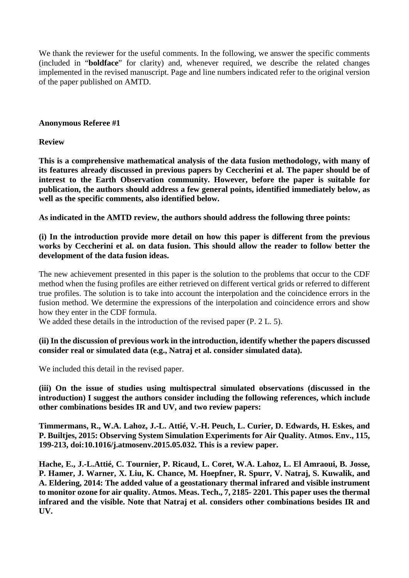We thank the reviewer for the useful comments. In the following, we answer the specific comments (included in "**boldface**" for clarity) and, whenever required, we describe the related changes implemented in the revised manuscript. Page and line numbers indicated refer to the original version of the paper published on AMTD.

#### **Anonymous Referee #1**

#### **Review**

**This is a comprehensive mathematical analysis of the data fusion methodology, with many of its features already discussed in previous papers by Ceccherini et al. The paper should be of interest to the Earth Observation community. However, before the paper is suitable for publication, the authors should address a few general points, identified immediately below, as well as the specific comments, also identified below.**

**As indicated in the AMTD review, the authors should address the following three points:**

#### **(i) In the introduction provide more detail on how this paper is different from the previous works by Ceccherini et al. on data fusion. This should allow the reader to follow better the development of the data fusion ideas.**

The new achievement presented in this paper is the solution to the problems that occur to the CDF method when the fusing profiles are either retrieved on different vertical grids or referred to different true profiles. The solution is to take into account the interpolation and the coincidence errors in the fusion method. We determine the expressions of the interpolation and coincidence errors and show how they enter in the CDF formula.

We added these details in the introduction of the revised paper (P. 2 L. 5).

# **(ii) In the discussion of previous work in the introduction, identify whether the papers discussed consider real or simulated data (e.g., Natraj et al. consider simulated data).**

We included this detail in the revised paper.

**(iii) On the issue of studies using multispectral simulated observations (discussed in the introduction) I suggest the authors consider including the following references, which include other combinations besides IR and UV, and two review papers:**

**Timmermans, R., W.A. Lahoz, J.-L. Attié, V.-H. Peuch, L. Curier, D. Edwards, H. Eskes, and P. Builtjes, 2015: Observing System Simulation Experiments for Air Quality. Atmos. Env., 115, 199-213, doi:10.1016/j.atmosenv.2015.05.032. This is a review paper.**

**Hache, E., J.-L.Attié, C. Tournier, P. Ricaud, L. Coret, W.A. Lahoz, L. El Amraoui, B. Josse, P. Hamer, J. Warner, X. Liu, K. Chance, M. Hoepfner, R. Spurr, V. Natraj, S. Kuwalik, and A. Eldering, 2014: The added value of a geostationary thermal infrared and visible instrument to monitor ozone for air quality. Atmos. Meas. Tech., 7, 2185- 2201. This paper uses the thermal infrared and the visible. Note that Natraj et al. considers other combinations besides IR and UV.**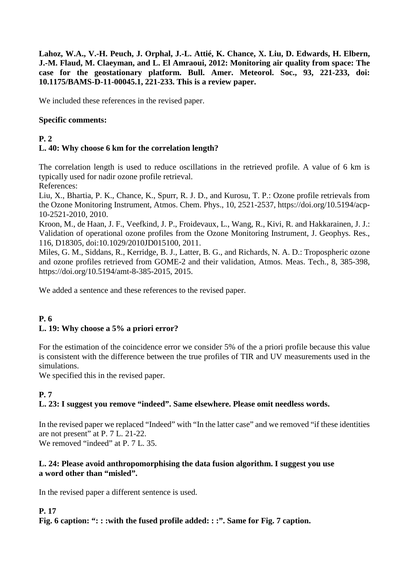**Lahoz, W.A., V.-H. Peuch, J. Orphal, J.-L. Attié, K. Chance, X. Liu, D. Edwards, H. Elbern, J.-M. Flaud, M. Claeyman, and L. El Amraoui, 2012: Monitoring air quality from space: The case for the geostationary platform. Bull. Amer. Meteorol. Soc., 93, 221-233, doi: 10.1175/BAMS-D-11-00045.1, 221-233. This is a review paper.**

We included these references in the revised paper.

#### **Specific comments:**

# **P. 2**

# **L. 40: Why choose 6 km for the correlation length?**

The correlation length is used to reduce oscillations in the retrieved profile. A value of 6 km is typically used for nadir ozone profile retrieval.

References:

Liu, X., Bhartia, P. K., Chance, K., Spurr, R. J. D., and Kurosu, T. P.: Ozone profile retrievals from the Ozone Monitoring Instrument, Atmos. Chem. Phys., 10, 2521-2537, https://doi.org/10.5194/acp-10-2521-2010, 2010.

Kroon, M., de Haan, J. F., Veefkind, J. P., Froidevaux, L., Wang, R., Kivi, R. and Hakkarainen, J. J.: Validation of operational ozone profiles from the Ozone Monitoring Instrument, J. Geophys. Res., 116, D18305, doi[:10.1029/2010JD015100, 2011.](http://dx.doi.org/10.1029/2010JD015100)

Miles, G. M., Siddans, R., Kerridge, B. J., Latter, B. G., and Richards, N. A. D.: Tropospheric ozone and ozone profiles retrieved from GOME-2 and their validation, Atmos. Meas. Tech., 8, 385-398, https://doi.org/10.5194/amt-8-385-2015, 2015.

We added a sentence and these references to the revised paper.

# **P. 6 L. 19: Why choose a 5% a priori error?**

For the estimation of the coincidence error we consider 5% of the a priori profile because this value is consistent with the difference between the true profiles of TIR and UV measurements used in the simulations.

We specified this in the revised paper.

# **P. 7**

# **L. 23: I suggest you remove "indeed". Same elsewhere. Please omit needless words.**

In the revised paper we replaced "Indeed" with "In the latter case" and we removed "if these identities are not present" at P. 7 L. 21-22. We removed "indeed" at P. 7 L. 35.

#### **L. 24: Please avoid anthropomorphising the data fusion algorithm. I suggest you use a word other than "misled".**

In the revised paper a different sentence is used.

# **P. 17**

**Fig. 6 caption: ": : :with the fused profile added: : :". Same for Fig. 7 caption.**